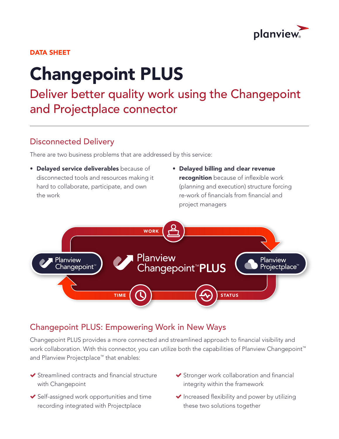

#### DATA SHEET

# Changepoint PLUS

Deliver better quality work using the Changepoint and Projectplace connector

### Disconnected Delivery

There are two business problems that are addressed by this service:

- Delayed service deliverables because of disconnected tools and resources making it hard to collaborate, participate, and own the work
- Delayed billing and clear revenue recognition because of inflexible work (planning and execution) structure forcing re-work of financials from financial and project managers



## Changepoint PLUS: Empowering Work in New Ways

Changepoint PLUS provides a more connected and streamlined approach to financial visibility and work collaboration. With this connector, you can utilize both the capabilities of Planview Changepoint<sup>™</sup> and Planview Projectplace™ that enables:

- ◆ Streamlined contracts and financial structure with Changepoint
- $\blacktriangleright$  Self-assigned work opportunities and time recording integrated with Projectplace
- Stronger work collaboration and financial integrity within the framework
- $\blacktriangleright$  Increased flexibility and power by utilizing these two solutions together